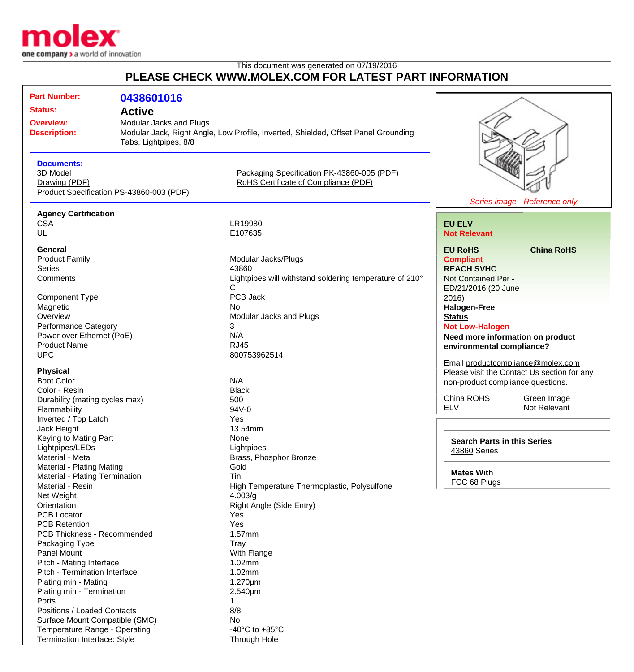

Termination Interface: Style Through Hole

## This document was generated on 07/19/2016 **PLEASE CHECK WWW.MOLEX.COM FOR LATEST PART INFORMATION**

| <b>Part Number:</b>                                       |                       |                                                                                    |                                                                                  |                               |
|-----------------------------------------------------------|-----------------------|------------------------------------------------------------------------------------|----------------------------------------------------------------------------------|-------------------------------|
|                                                           | 0438601016            |                                                                                    |                                                                                  |                               |
| <b>Status:</b>                                            | <b>Active</b>         |                                                                                    |                                                                                  |                               |
| <b>Overview:</b><br><b>Modular Jacks and Plugs</b>        |                       |                                                                                    |                                                                                  |                               |
| <b>Description:</b>                                       |                       | Modular Jack, Right Angle, Low Profile, Inverted, Shielded, Offset Panel Grounding |                                                                                  |                               |
|                                                           | Tabs, Lightpipes, 8/8 |                                                                                    |                                                                                  |                               |
|                                                           |                       |                                                                                    |                                                                                  |                               |
| <b>Documents:</b>                                         |                       |                                                                                    |                                                                                  |                               |
| 3D Model                                                  |                       | Packaging Specification PK-43860-005 (PDF)<br>RoHS Certificate of Compliance (PDF) |                                                                                  |                               |
| Drawing (PDF)<br>Product Specification PS-43860-003 (PDF) |                       |                                                                                    |                                                                                  |                               |
|                                                           |                       |                                                                                    |                                                                                  | Series image - Reference only |
| <b>Agency Certification</b>                               |                       |                                                                                    |                                                                                  |                               |
| <b>CSA</b>                                                |                       | LR19980                                                                            | <b>EU ELV</b>                                                                    |                               |
| UL                                                        |                       | E107635                                                                            | <b>Not Relevant</b>                                                              |                               |
|                                                           |                       |                                                                                    |                                                                                  |                               |
| <b>General</b>                                            |                       |                                                                                    | <b>EU RoHS</b>                                                                   | <b>China RoHS</b>             |
| <b>Product Family</b>                                     |                       | Modular Jacks/Plugs                                                                | <b>Compliant</b>                                                                 |                               |
| <b>Series</b>                                             |                       | 43860                                                                              | <b>REACH SVHC</b>                                                                |                               |
| Comments                                                  |                       | Lightpipes will withstand soldering temperature of 210°                            | Not Contained Per -                                                              |                               |
|                                                           |                       | C                                                                                  | ED/21/2016 (20 June                                                              |                               |
| <b>Component Type</b>                                     |                       | PCB Jack                                                                           | 2016)                                                                            |                               |
| Magnetic                                                  |                       | No                                                                                 | <b>Halogen-Free</b>                                                              |                               |
| Overview                                                  |                       | <b>Modular Jacks and Plugs</b>                                                     | <b>Status</b>                                                                    |                               |
| <b>Performance Category</b>                               |                       | 3                                                                                  | <b>Not Low-Halogen</b>                                                           |                               |
| Power over Ethernet (PoE)                                 |                       | N/A                                                                                | Need more information on product                                                 |                               |
| <b>Product Name</b>                                       |                       | <b>RJ45</b>                                                                        | environmental compliance?                                                        |                               |
| <b>UPC</b>                                                |                       | 800753962514                                                                       | Email productcompliance@molex.com                                                |                               |
| <b>Physical</b>                                           |                       |                                                                                    |                                                                                  |                               |
| <b>Boot Color</b>                                         |                       | N/A                                                                                | Please visit the Contact Us section for any<br>non-product compliance questions. |                               |
| Color - Resin                                             |                       | <b>Black</b>                                                                       |                                                                                  |                               |
| Durability (mating cycles max)                            |                       | 500                                                                                | China ROHS                                                                       | Green Image                   |
| Flammability                                              |                       | 94V-0                                                                              | <b>ELV</b>                                                                       | Not Relevant                  |
| Inverted / Top Latch                                      |                       | Yes                                                                                |                                                                                  |                               |
| Jack Height                                               |                       | 13.54mm                                                                            |                                                                                  |                               |
| Keying to Mating Part                                     |                       | None                                                                               | <b>Search Parts in this Series</b>                                               |                               |
| Lightpipes/LEDs                                           |                       | Lightpipes                                                                         | <b>43860 Series</b>                                                              |                               |
| Material - Metal                                          |                       | Brass, Phosphor Bronze                                                             |                                                                                  |                               |
| Material - Plating Mating                                 |                       | Gold                                                                               |                                                                                  |                               |
| Material - Plating Termination                            |                       | Tin                                                                                | <b>Mates With</b>                                                                |                               |
| Material - Resin                                          |                       | FCC 68 Plugs<br>High Temperature Thermoplastic, Polysulfone                        |                                                                                  |                               |
| Net Weight                                                |                       | 4.003/g                                                                            |                                                                                  |                               |
| Orientation                                               |                       | Right Angle (Side Entry)                                                           |                                                                                  |                               |
| <b>PCB Locator</b>                                        |                       | Yes                                                                                |                                                                                  |                               |
| <b>PCB Retention</b>                                      |                       | Yes                                                                                |                                                                                  |                               |
| PCB Thickness - Recommended                               |                       | $1.57$ mm                                                                          |                                                                                  |                               |
| Packaging Type                                            |                       | Tray                                                                               |                                                                                  |                               |
| Panel Mount                                               |                       | With Flange                                                                        |                                                                                  |                               |
| Pitch - Mating Interface                                  |                       | 1.02mm                                                                             |                                                                                  |                               |
| Pitch - Termination Interface                             |                       | 1.02mm                                                                             |                                                                                  |                               |
| Plating min - Mating                                      |                       | $1.270 \mu m$                                                                      |                                                                                  |                               |
| Plating min - Termination                                 |                       | $2.540 \mu m$                                                                      |                                                                                  |                               |
| Ports                                                     |                       | 1                                                                                  |                                                                                  |                               |
| Positions / Loaded Contacts                               |                       | 8/8                                                                                |                                                                                  |                               |
| Surface Mount Compatible (SMC)                            |                       | No                                                                                 |                                                                                  |                               |
| Temperature Range - Operating                             |                       | -40 $^{\circ}$ C to +85 $^{\circ}$ C                                               |                                                                                  |                               |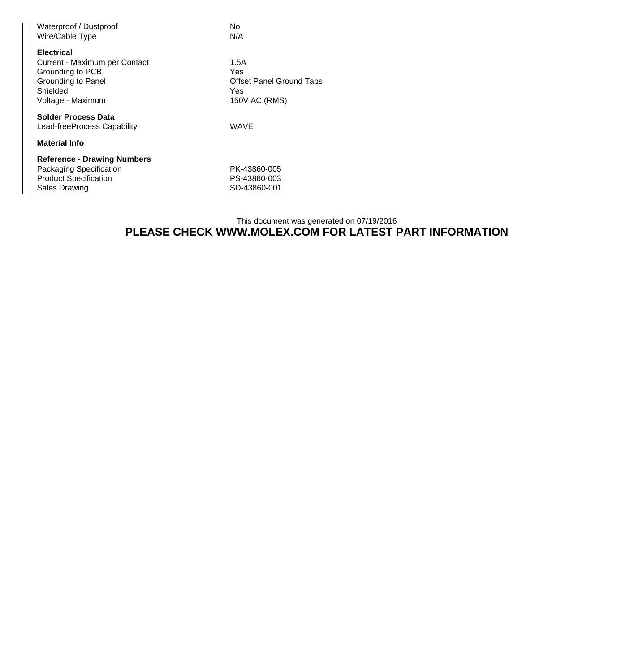| Waterproof / Dustproof             | No                              |  |  |  |
|------------------------------------|---------------------------------|--|--|--|
| Wire/Cable Type                    | N/A                             |  |  |  |
|                                    |                                 |  |  |  |
| <b>Electrical</b>                  |                                 |  |  |  |
| Current - Maximum per Contact      | 1.5A                            |  |  |  |
| Grounding to PCB                   | Yes                             |  |  |  |
| Grounding to Panel                 | <b>Offset Panel Ground Tabs</b> |  |  |  |
| Shielded                           | Yes                             |  |  |  |
| Voltage - Maximum                  | 150V AC (RMS)                   |  |  |  |
|                                    |                                 |  |  |  |
| <b>Solder Process Data</b>         |                                 |  |  |  |
| Lead-freeProcess Capability        | WAVE                            |  |  |  |
|                                    |                                 |  |  |  |
| <b>Material Info</b>               |                                 |  |  |  |
| <b>Reference - Drawing Numbers</b> |                                 |  |  |  |
| Packaging Specification            | PK-43860-005                    |  |  |  |
|                                    |                                 |  |  |  |
| <b>Product Specification</b>       | PS-43860-003                    |  |  |  |
| Sales Drawing                      | SD-43860-001                    |  |  |  |

## This document was generated on 07/19/2016 **PLEASE CHECK WWW.MOLEX.COM FOR LATEST PART INFORMATION**